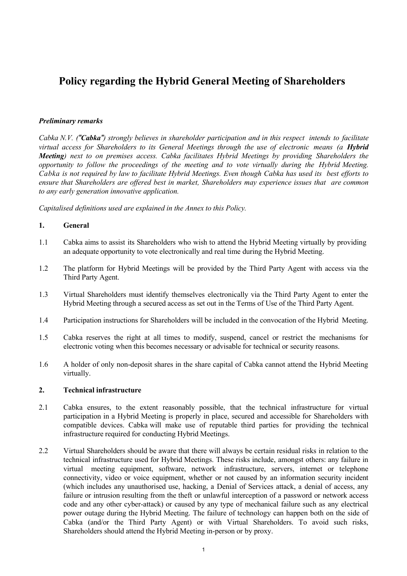# **Policy regarding the Hybrid General Meeting of Shareholders**

# *Preliminary remarks*

Cabka N.V. ("Cabka") strongly believes in shareholder participation and in this respect intends to facilitate *virtual access for Shareholders to its General Meetings through the use of electronic means (a Hybrid Meeting) next to on premises access. Cabka facilitates Hybrid Meetings by providing Shareholders the opportunity to follow the proceedings of the meeting and to vote virtually during the Hybrid Meeting.* Cabka is not required by law to facilitate Hybrid Meetings. Even though Cabka has used its best efforts to *ensure that Shareholders are offered best in market, Shareholders may experience issues that are common to any early generation innovative application.*

*Capitalised definitions used are explained in the Annex to this Policy.*

### **1. General**

- 1.1 Cabka aims to assist its Shareholders who wish to attend the Hybrid Meeting virtually by providing an adequate opportunity to vote electronically and real time during the Hybrid Meeting.
- 1.2 The platform for Hybrid Meetings will be provided by the Third Party Agent with access via the Third Party Agent.
- 1.3 Virtual Shareholders must identify themselves electronically via the Third Party Agent to enter the Hybrid Meeting through a secured access as set out in the Terms of Use of the Third Party Agent.
- 1.4 Participation instructions for Shareholders will be included in the convocation of the Hybrid Meeting.
- 1.5 Cabka reserves the right at all times to modify, suspend, cancel or restrict the mechanisms for electronic voting when this becomes necessary or advisable for technical or security reasons.
- 1.6 A holder of only non-deposit shares in the share capital of Cabka cannot attend the Hybrid Meeting virtually.

# **2. Technical infrastructure**

- 2.1 Cabka ensures, to the extent reasonably possible, that the technical infrastructure for virtual participation in a Hybrid Meeting is properly in place, secured and accessible for Shareholders with compatible devices. Cabka will make use of reputable third parties for providing the technical infrastructure required for conducting Hybrid Meetings.
- 2.2 Virtual Shareholders should be aware that there will always be certain residual risks in relation to the technical infrastructure used for Hybrid Meetings. These risks include, amongst others: any failure in virtual meeting equipment, software, network infrastructure, servers, internet or telephone connectivity, video or voice equipment, whether or not caused by an information security incident (which includes any unauthorised use, hacking, a Denial of Services attack, a denial of access, any failure or intrusion resulting from the theft or unlawful interception of a password or network access code and any other cyber-attack) or caused by any type of mechanical failure such as any electrical power outage during the Hybrid Meeting. The failure of technology can happen both on the side of Cabka (and/or the Third Party Agent) or with Virtual Shareholders. To avoid such risks, Shareholders should attend the Hybrid Meeting in-person or by proxy.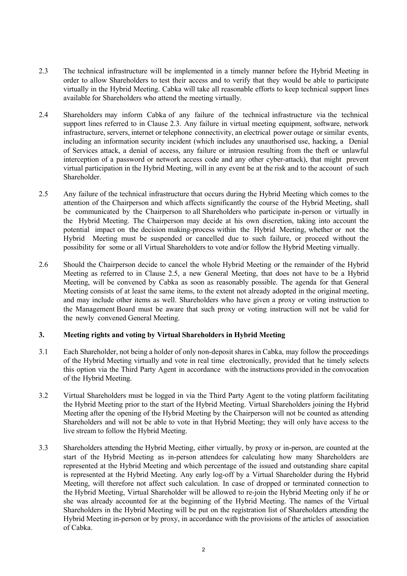- 2.3 The technical infrastructure will be implemented in a timely manner before the Hybrid Meeting in order to allow Shareholders to test their access and to verify that they would be able to participate virtually in the Hybrid Meeting. Cabka will take all reasonable efforts to keep technical support lines available for Shareholders who attend the meeting virtually.
- 2.4 Shareholders may inform Cabka of any failure of the technical infrastructure via the technical support lines referred to in Clause 2.3. Any failure in virtual meeting equipment, software, network infrastructure, servers, internet or telephone connectivity, an electrical power outage or similar events, including an information security incident (which includes any unauthorised use, hacking, a Denial of Services attack, a denial of access, any failure or intrusion resulting from the theft or unlawful interception of a password or network access code and any other cyber-attack), that might prevent virtual participation in the Hybrid Meeting, will in any event be at the risk and to the account of such Shareholder.
- 2.5 Any failure of the technical infrastructure that occurs during the Hybrid Meeting which comes to the attention of the Chairperson and which affects significantly the course of the Hybrid Meeting, shall be communicated by the Chairperson to all Shareholders who participate in-person or virtually in the Hybrid Meeting. The Chairperson may decide at his own discretion, taking into account the potential impact on the decision making-process within the Hybrid Meeting, whether or not the Hybrid Meeting must be suspended or cancelled due to such failure, or proceed without the possibility for some or all Virtual Shareholders to vote and/or follow the Hybrid Meeting virtually.
- 2.6 Should the Chairperson decide to cancel the whole Hybrid Meeting or the remainder of the Hybrid Meeting as referred to in Clause 2.5, a new General Meeting, that does not have to be a Hybrid Meeting, will be convened by Cabka as soon as reasonably possible. The agenda for that General Meeting consists of at least the same items, to the extent not already adopted in the original meeting, and may include other items as well. Shareholders who have given a proxy or voting instruction to the Management Board must be aware that such proxy or voting instruction will not be valid for the newly convened General Meeting.

# **3. Meeting rights and voting by Virtual Shareholders in Hybrid Meeting**

- 3.1 Each Shareholder, not being a holder of only non-deposit shares in Cabka, may follow the proceedings of the Hybrid Meeting virtually and vote in real time electronically, provided that he timely selects this option via the Third Party Agent in accordance with the instructions provided in the convocation of the Hybrid Meeting.
- 3.2 Virtual Shareholders must be logged in via the Third Party Agent to the voting platform facilitating the Hybrid Meeting prior to the start of the Hybrid Meeting. Virtual Shareholders joining the Hybrid Meeting after the opening of the Hybrid Meeting by the Chairperson will not be counted as attending Shareholders and will not be able to vote in that Hybrid Meeting; they will only have access to the live stream to follow the Hybrid Meeting.
- 3.3 Shareholders attending the Hybrid Meeting, either virtually, by proxy or in-person, are counted at the start of the Hybrid Meeting as in-person attendees for calculating how many Shareholders are represented at the Hybrid Meeting and which percentage of the issued and outstanding share capital is represented at the Hybrid Meeting. Any early log-off by a Virtual Shareholder during the Hybrid Meeting, will therefore not affect such calculation. In case of dropped or terminated connection to the Hybrid Meeting, Virtual Shareholder will be allowed to re-join the Hybrid Meeting only if he or she was already accounted for at the beginning of the Hybrid Meeting. The names of the Virtual Shareholders in the Hybrid Meeting will be put on the registration list of Shareholders attending the Hybrid Meeting in-person or by proxy, in accordance with the provisions of the articles of association of Cabka.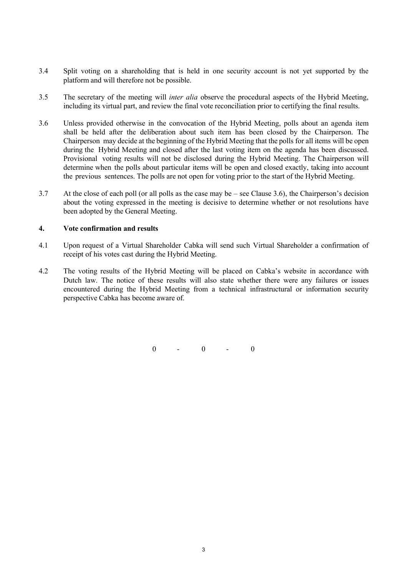- 3.4 Split voting on a shareholding that is held in one security account is not yet supported by the platform and will therefore not be possible.
- 3.5 The secretary of the meeting will *inter alia* observe the procedural aspects of the Hybrid Meeting, including its virtual part, and review the final vote reconciliation prior to certifying the final results.
- 3.6 Unless provided otherwise in the convocation of the Hybrid Meeting, polls about an agenda item shall be held after the deliberation about such item has been closed by the Chairperson. The Chairperson may decide at the beginning of the Hybrid Meeting that the polls for all items will be open during the Hybrid Meeting and closed after the last voting item on the agenda has been discussed. Provisional voting results will not be disclosed during the Hybrid Meeting. The Chairperson will determine when the polls about particular items will be open and closed exactly, taking into account the previous sentences. The polls are not open for voting prior to the start of the Hybrid Meeting.
- 3.7 At the close of each poll (or all polls as the case may be see Clause 3.6), the Chairperson's decision about the voting expressed in the meeting is decisive to determine whether or not resolutions have been adopted by the General Meeting.

### **4. Vote confirmation and results**

- 4.1 Upon request of a Virtual Shareholder Cabka will send such Virtual Shareholder a confirmation of receipt of his votes cast during the Hybrid Meeting.
- 4.2 The voting results of the Hybrid Meeting will be placed on Cabka's website in accordance with Dutch law. The notice of these results will also state whether there were any failures or issues encountered during the Hybrid Meeting from a technical infrastructural or information security perspective Cabka has become aware of.

 $0 \qquad - \qquad 0 \qquad - \qquad 0$